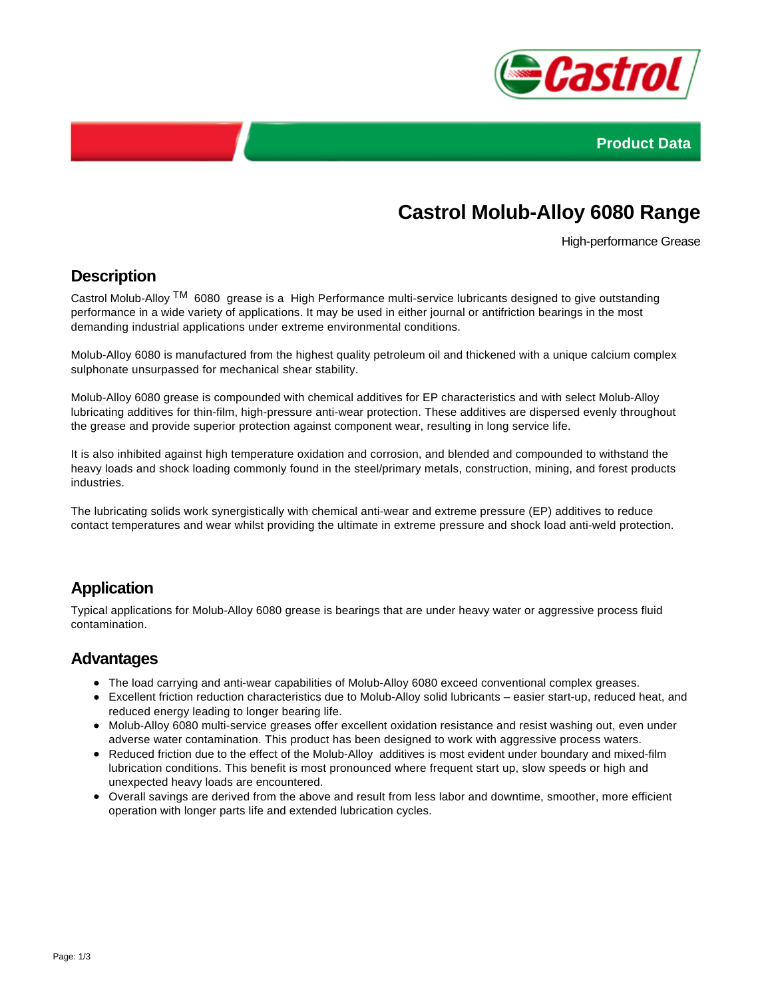



# **Castrol Molub-Alloy 6080 Range**

High-performance Grease

#### **Description**

Castrol Molub-Alloy TM 6080 grease is a High Performance multi-service lubricants designed to give outstanding performance in a wide variety of applications. It may be used in either journal or antifriction bearings in the most demanding industrial applications under extreme environmental conditions.

Molub-Alloy 6080 is manufactured from the highest quality petroleum oil and thickened with a unique calcium complex sulphonate unsurpassed for mechanical shear stability.

Molub-Alloy 6080 grease is compounded with chemical additives for EP characteristics and with select Molub-Alloy lubricating additives for thin-film, high-pressure anti-wear protection. These additives are dispersed evenly throughout the grease and provide superior protection against component wear, resulting in long service life.

It is also inhibited against high temperature oxidation and corrosion, and blended and compounded to withstand the heavy loads and shock loading commonly found in the steel/primary metals, construction, mining, and forest products industries.

The lubricating solids work synergistically with chemical anti-wear and extreme pressure (EP) additives to reduce contact temperatures and wear whilst providing the ultimate in extreme pressure and shock load anti-weld protection.

## **Application**

Typical applications for Molub-Alloy 6080 grease is bearings that are under heavy water or aggressive process fluid contamination.

#### **Advantages**

- The load carrying and anti-wear capabilities of Molub-Alloy 6080 exceed conventional complex greases.
- Excellent friction reduction characteristics due to Molub-Alloy solid lubricants easier start-up, reduced heat, and reduced energy leading to longer bearing life.
- Molub-Alloy 6080 multi-service greases offer excellent oxidation resistance and resist washing out, even under adverse water contamination. This product has been designed to work with aggressive process waters.
- Reduced friction due to the effect of the Molub-Alloy additives is most evident under boundary and mixed-film lubrication conditions. This benefit is most pronounced where frequent start up, slow speeds or high and unexpected heavy loads are encountered.
- Overall savings are derived from the above and result from less labor and downtime, smoother, more efficient operation with longer parts life and extended lubrication cycles.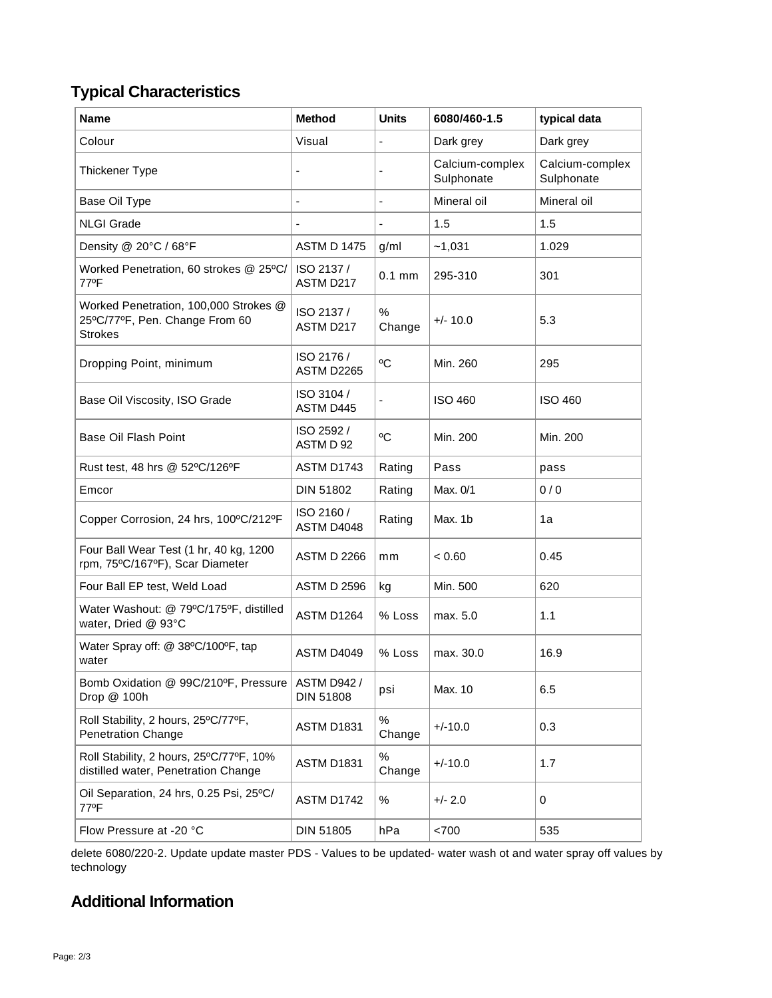# **Typical Characteristics**

| <b>Name</b>                                                                               | <b>Method</b>                          | <b>Units</b>   | 6080/460-1.5                  | typical data                  |
|-------------------------------------------------------------------------------------------|----------------------------------------|----------------|-------------------------------|-------------------------------|
| Colour                                                                                    | Visual                                 |                | Dark grey                     | Dark grey                     |
| Thickener Type                                                                            |                                        |                | Calcium-complex<br>Sulphonate | Calcium-complex<br>Sulphonate |
| Base Oil Type                                                                             | L,                                     | ä,             | Mineral oil                   | Mineral oil                   |
| <b>NLGI Grade</b>                                                                         |                                        |                | 1.5                           | 1.5                           |
| Density @ 20°C / 68°F                                                                     | <b>ASTM D 1475</b>                     | g/ml           | ~1,031                        | 1.029                         |
| Worked Penetration, 60 strokes @ 25°C/<br>77°F                                            | ISO 2137 /<br>ASTM D217                | $0.1$ mm       | 295-310                       | 301                           |
| Worked Penetration, 100,000 Strokes @<br>25°C/77°F, Pen. Change From 60<br><b>Strokes</b> | ISO 2137 /<br>ASTM D217                | $\%$<br>Change | $+/- 10.0$                    | 5.3                           |
| Dropping Point, minimum                                                                   | ISO 2176 /<br>ASTM D2265               | °C             | Min. 260                      | 295                           |
| Base Oil Viscosity, ISO Grade                                                             | ISO 3104 /<br>ASTM D445                |                | <b>ISO 460</b>                | <b>ISO 460</b>                |
| Base Oil Flash Point                                                                      | ISO 2592 /<br>ASTM D 92                | °C             | Min. 200                      | Min. 200                      |
| Rust test, 48 hrs @ 52°C/126°F                                                            | ASTM D1743                             | Rating         | Pass                          | pass                          |
| Emcor                                                                                     | DIN 51802                              | Rating         | Max. 0/1                      | 0/0                           |
| Copper Corrosion, 24 hrs, 100°C/212°F                                                     | ISO 2160 /<br>ASTM D4048               | Rating         | Max. 1b                       | 1a                            |
| Four Ball Wear Test (1 hr, 40 kg, 1200<br>rpm, 75°C/167°F), Scar Diameter                 | <b>ASTM D 2266</b>                     | mm             | < 0.60                        | 0.45                          |
| Four Ball EP test, Weld Load                                                              | <b>ASTM D 2596</b>                     | kg             | Min. 500                      | 620                           |
| Water Washout: @ 79°C/175°F, distilled<br>water, Dried @ 93°C                             | ASTM D1264                             | % Loss         | max. 5.0                      | 1.1                           |
| Water Spray off: @ 38°C/100°F, tap<br>water                                               | ASTM D4049                             | % Loss         | max. 30.0                     | 16.9                          |
| Bomb Oxidation @ 99C/210°F, Pressure<br>Drop @ 100h                                       | <b>ASTM D942 /</b><br><b>DIN 51808</b> | psi            | Max. 10                       | 6.5                           |
| Roll Stability, 2 hours, 25°C/77°F,<br><b>Penetration Change</b>                          | ASTM D1831                             | $\%$<br>Change | $+/-10.0$                     | 0.3                           |
| Roll Stability, 2 hours, 25°C/77°F, 10%<br>distilled water, Penetration Change            | ASTM D1831                             | $\%$<br>Change | $+/-10.0$                     | 1.7                           |
| Oil Separation, 24 hrs, 0.25 Psi, 25°C/<br>77°F                                           | ASTM D1742                             | ℅              | $+/- 2.0$                     | 0                             |
| Flow Pressure at -20 °C                                                                   | DIN 51805                              | hPa            | < 700                         | 535                           |

delete 6080/220-2. Update update master PDS - Values to be updated- water wash ot and water spray off values by technology

## **Additional Information**